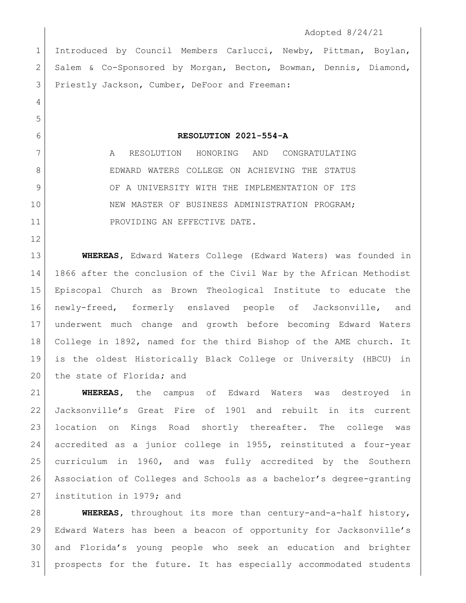## Adopted 8/24/21

 Introduced by Council Members Carlucci, Newby, Pittman, Boylan, Salem & Co-Sponsored by Morgan, Becton, Bowman, Dennis, Diamond, 3 Priestly Jackson, Cumber, DeFoor and Freeman:

**RESOLUTION 2021-554-A**

 A RESOLUTION HONORING AND CONGRATULATING EDWARD WATERS COLLEGE ON ACHIEVING THE STATUS 9 OF A UNIVERSITY WITH THE IMPLEMENTATION OF ITS 10 NEW MASTER OF BUSINESS ADMINISTRATION PROGRAM; 11 PROVIDING AN EFFECTIVE DATE.

 **WHEREAS,** Edward Waters College (Edward Waters) was founded in 1866 after the conclusion of the Civil War by the African Methodist Episcopal Church as Brown Theological Institute to educate the newly-freed, formerly enslaved people of Jacksonville, and underwent much change and growth before becoming Edward Waters College in 1892, named for the third Bishop of the AME church. It is the oldest Historically Black College or University (HBCU) in the state of Florida**;** and

 **WHEREAS,** the campus of Edward Waters was destroyed in Jacksonville's Great Fire of 1901 and rebuilt in its current location on Kings Road shortly thereafter. The college was accredited as a junior college in 1955, reinstituted a four-year curriculum in 1960, and was fully accredited by the Southern Association of Colleges and Schools as a bachelor's degree-granting institution in 1979; and

 **WHEREAS,** throughout its more than century-and-a-half history, Edward Waters has been a beacon of opportunity for Jacksonville's and Florida's young people who seek an education and brighter prospects for the future. It has especially accommodated students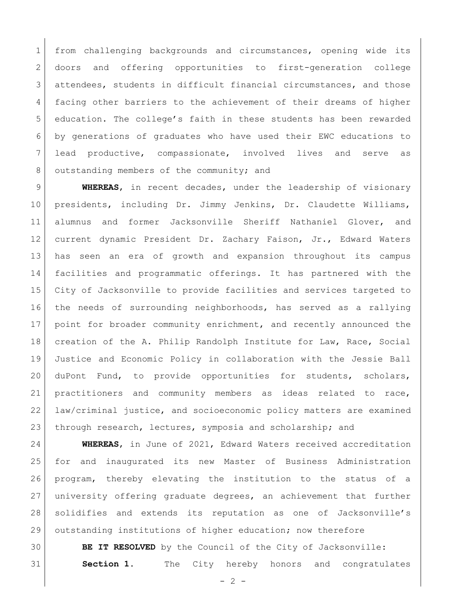1 from challenging backgrounds and circumstances, opening wide its doors and offering opportunities to first-generation college attendees, students in difficult financial circumstances, and those facing other barriers to the achievement of their dreams of higher education. The college's faith in these students has been rewarded by generations of graduates who have used their EWC educations to lead productive, compassionate, involved lives and serve as 8 outstanding members of the community; and

 **WHEREAS**, in recent decades, under the leadership of visionary presidents, including Dr. Jimmy Jenkins, Dr. Claudette Williams, alumnus and former Jacksonville Sheriff Nathaniel Glover, and current dynamic President Dr. Zachary Faison, Jr., Edward Waters has seen an era of growth and expansion throughout its campus facilities and programmatic offerings. It has partnered with the City of Jacksonville to provide facilities and services targeted to the needs of surrounding neighborhoods, has served as a rallying point for broader community enrichment, and recently announced the creation of the A. Philip Randolph Institute for Law, Race, Social Justice and Economic Policy in collaboration with the Jessie Ball duPont Fund, to provide opportunities for students, scholars, practitioners and community members as ideas related to race, law/criminal justice, and socioeconomic policy matters are examined through research, lectures, symposia and scholarship; and

 **WHEREAS**, in June of 2021, Edward Waters received accreditation for and inaugurated its new Master of Business Administration program, thereby elevating the institution to the status of a university offering graduate degrees, an achievement that further solidifies and extends its reputation as one of Jacksonville's outstanding institutions of higher education; now therefore

 **BE IT RESOLVED** by the Council of the City of Jacksonville: **Section 1.** The City hereby honors and congratulates

 $- 2 -$